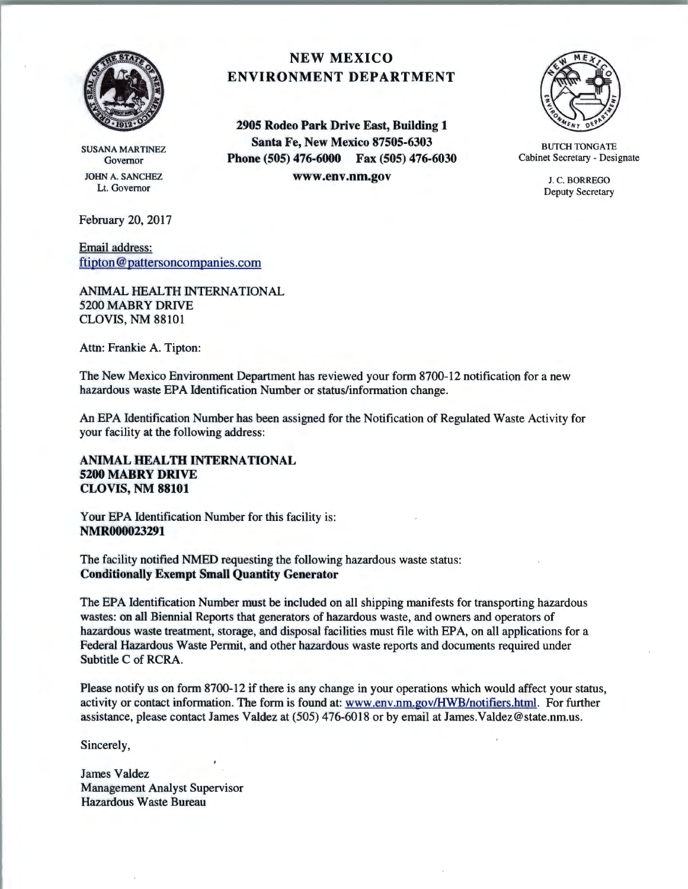

SUSANA MARTINEZ Governor JOHN A. SANCHEZ Lt. Governor

February 20, 2017

Email address: ftipton@pattersoncompanies.com

ANIMAL HEALTH INTERNATIONAL 5200 MABRY DRIVE CLOVIS, NM 88101

Attn: Frankie A. Tipton:

The New Mexico Environment Department has reviewed your form 8700-12 notification for a new hazardous waste EPA Identification Number or status/information change.

An EPA Identification Number has been assigned for the Notification of Regulated Waste Activity for your facility at the following address:

ANIMAL HEALTH INTERNATIONAL 5200 MABRY DRIVE CLOVIS, NM 88101

Your EPA Identification Number for this facility is: NMR000023291

The facility notified NMED requesting the following hazardous waste status: Conditionally Exempt Small Quantity Generator

The EPA Identification Number must be included on all shipping manifests for transporting hazardous wastes: on all Biennial Reports that generators of hazardous waste, and owners and operators of hazardous waste treatment, storage, and disposal facilities must file with EPA, on all applications for a Federal Hazardous Waste Permit, and other hazardous waste reports and documents required under Subtitle C of RCRA.

Please notify us on form 8700-12 if there is any change in your operations which would affect your status, activity or contact information. The form is found at: www.env.nm.gov/HWB/notifiers.html. For further assistance, please contact James Valdez at (505) 476-6018 or by email at James.Valdez@state.nm.us.

Sincerely,

James Valdez Management Analyst Supervisor Hazardous Waste Bureau

## NEW MEXICO ENVIRONMENT DEPARTMENT

2905 Rodeo Park Drive East, Building 1 Santa Fe, New Mexico 87505-6303 Phone (505) 476-6000 Fax (505) 476-6030 www.env.nm.gov



BUTCH TONGATE Cabinet Secretary - Designate

> J. C. BORREGO Deputy Secretary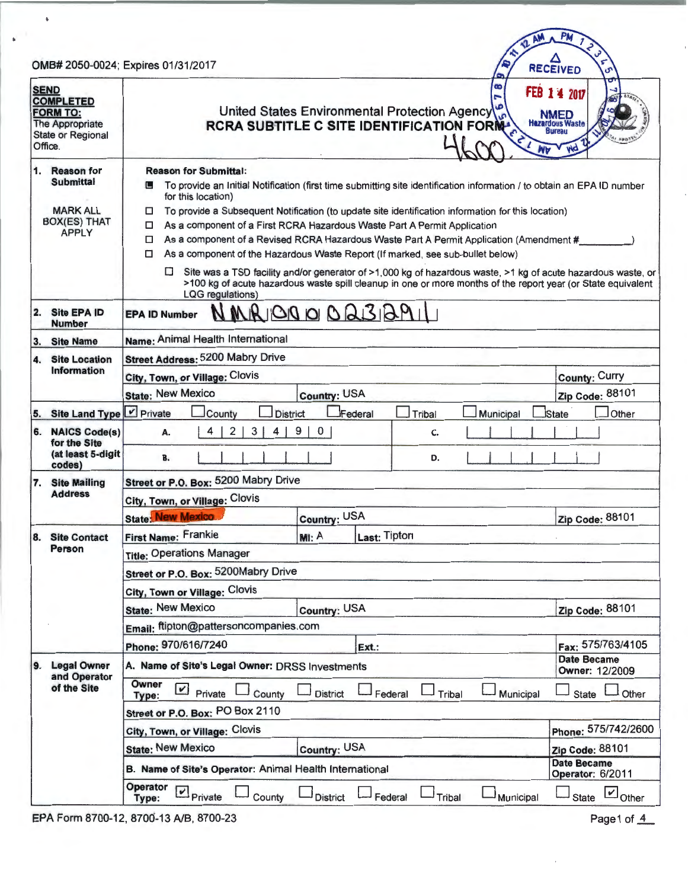|                                                                                                              | OMB# 2050-0024; Expires 01/31/2017                                                                                                                                                                                                                                                                                                                                                                                                                                                                                                                                                                                                                   |                 |                                                                                           |                | <b>RECEIVED</b>                                                              |  |  |  |  |  |
|--------------------------------------------------------------------------------------------------------------|------------------------------------------------------------------------------------------------------------------------------------------------------------------------------------------------------------------------------------------------------------------------------------------------------------------------------------------------------------------------------------------------------------------------------------------------------------------------------------------------------------------------------------------------------------------------------------------------------------------------------------------------------|-----------------|-------------------------------------------------------------------------------------------|----------------|------------------------------------------------------------------------------|--|--|--|--|--|
| <b>SEND</b><br><b>COMPLETED</b><br><b>FORM TO:</b><br>The Appropriate<br><b>State or Regional</b><br>Office. |                                                                                                                                                                                                                                                                                                                                                                                                                                                                                                                                                                                                                                                      |                 | United States Environmental Protection Agency<br>RCRA SUBTITLE C SITE IDENTIFICATION FORM | œ<br><b>WH</b> | FEB 1 4 2017<br><b>NMED</b><br><b>Hazardous Waste</b><br><b>Bureau</b><br>Wd |  |  |  |  |  |
| 1.<br><b>Reason for</b><br><b>Submittal</b>                                                                  | <b>Reason for Submittal:</b><br>To provide an Initial Notification (first time submitting site identification information / to obtain an EPA ID number<br>ш<br>for this location)                                                                                                                                                                                                                                                                                                                                                                                                                                                                    |                 |                                                                                           |                |                                                                              |  |  |  |  |  |
| <b>MARK ALL</b><br><b>BOX(ES) THAT</b><br><b>APPLY</b>                                                       | To provide a Subsequent Notification (to update site identification information for this location)<br>□<br>As a component of a First RCRA Hazardous Waste Part A Permit Application<br>□<br>As a component of a Revised RCRA Hazardous Waste Part A Permit Application (Amendment #<br>□<br>As a component of the Hazardous Waste Report (If marked, see sub-bullet below)<br>□<br>Site was a TSD facility and/or generator of >1,000 kg of hazardous waste, >1 kg of acute hazardous waste, or<br>$\Box$<br>>100 kg of acute hazardous waste spill cleanup in one or more months of the report year (or State equivalent<br><b>LQG</b> regulations) |                 |                                                                                           |                |                                                                              |  |  |  |  |  |
| 2.<br><b>Site EPA ID</b><br><b>Number</b>                                                                    | <b>EPA ID Number</b>                                                                                                                                                                                                                                                                                                                                                                                                                                                                                                                                                                                                                                 | MRIORO O BRIBAI |                                                                                           |                |                                                                              |  |  |  |  |  |
| 3.<br><b>Site Name</b>                                                                                       | Name: Animal Health International                                                                                                                                                                                                                                                                                                                                                                                                                                                                                                                                                                                                                    |                 |                                                                                           |                |                                                                              |  |  |  |  |  |
| 4.<br><b>Site Location</b>                                                                                   | Street Address: 5200 Mabry Drive                                                                                                                                                                                                                                                                                                                                                                                                                                                                                                                                                                                                                     |                 |                                                                                           |                |                                                                              |  |  |  |  |  |
| <b>Information</b>                                                                                           | City, Town, or Village: Clovis                                                                                                                                                                                                                                                                                                                                                                                                                                                                                                                                                                                                                       |                 | <b>County: Curry</b>                                                                      |                |                                                                              |  |  |  |  |  |
|                                                                                                              | <b>State: New Mexico</b>                                                                                                                                                                                                                                                                                                                                                                                                                                                                                                                                                                                                                             |                 | Zip Code: 88101                                                                           |                |                                                                              |  |  |  |  |  |
| 5. Site Land Type                                                                                            | $\nu$ Private<br>County<br><b>District</b>                                                                                                                                                                                                                                                                                                                                                                                                                                                                                                                                                                                                           | Federal         | Tribal                                                                                    | Municipal      | <b>State</b><br>Other                                                        |  |  |  |  |  |
| <b>NAICS Code(s)</b><br>16.                                                                                  | 3<br>А.                                                                                                                                                                                                                                                                                                                                                                                                                                                                                                                                                                                                                                              | 9<br>0          | C.                                                                                        |                |                                                                              |  |  |  |  |  |
| for the Site<br>(at least 5-digit)<br>codes)                                                                 | В.                                                                                                                                                                                                                                                                                                                                                                                                                                                                                                                                                                                                                                                   |                 | D.                                                                                        |                |                                                                              |  |  |  |  |  |
| 17.<br><b>Site Mailing</b>                                                                                   | Street or P.O. Box: 5200 Mabry Drive                                                                                                                                                                                                                                                                                                                                                                                                                                                                                                                                                                                                                 |                 |                                                                                           |                |                                                                              |  |  |  |  |  |
| <b>Address</b>                                                                                               | City, Town, or Village: Clovis                                                                                                                                                                                                                                                                                                                                                                                                                                                                                                                                                                                                                       |                 |                                                                                           |                |                                                                              |  |  |  |  |  |
|                                                                                                              | <b>State:</b> New Mexico                                                                                                                                                                                                                                                                                                                                                                                                                                                                                                                                                                                                                             | Zip Code: 88101 |                                                                                           |                |                                                                              |  |  |  |  |  |
| 8.<br><b>Site Contact</b>                                                                                    | First Name: Frankie                                                                                                                                                                                                                                                                                                                                                                                                                                                                                                                                                                                                                                  |                 |                                                                                           |                |                                                                              |  |  |  |  |  |
| Person                                                                                                       | <b>Title: Operations Manager</b>                                                                                                                                                                                                                                                                                                                                                                                                                                                                                                                                                                                                                     |                 |                                                                                           |                |                                                                              |  |  |  |  |  |
|                                                                                                              | Street or P.O. Box: 5200Mabry Drive                                                                                                                                                                                                                                                                                                                                                                                                                                                                                                                                                                                                                  |                 |                                                                                           |                |                                                                              |  |  |  |  |  |
|                                                                                                              | City, Town or Village: Clovis                                                                                                                                                                                                                                                                                                                                                                                                                                                                                                                                                                                                                        |                 |                                                                                           |                |                                                                              |  |  |  |  |  |
|                                                                                                              | <b>State: New Mexico</b>                                                                                                                                                                                                                                                                                                                                                                                                                                                                                                                                                                                                                             |                 | Zip Code: 88101                                                                           |                |                                                                              |  |  |  |  |  |
|                                                                                                              | Country: USA<br>Email: ftipton@pattersoncompanies.com                                                                                                                                                                                                                                                                                                                                                                                                                                                                                                                                                                                                |                 |                                                                                           |                |                                                                              |  |  |  |  |  |
|                                                                                                              | Phone: 970/616/7240                                                                                                                                                                                                                                                                                                                                                                                                                                                                                                                                                                                                                                  |                 | Fax: 575/763/4105                                                                         |                |                                                                              |  |  |  |  |  |
| 9.<br><b>Legal Owner</b><br>and Operator<br>of the Site                                                      | A. Name of Site's Legal Owner: DRSS Investments<br>Owner                                                                                                                                                                                                                                                                                                                                                                                                                                                                                                                                                                                             |                 |                                                                                           |                | <b>Date Became</b><br>Owner: 12/2009                                         |  |  |  |  |  |
|                                                                                                              | M<br>County<br>Private<br>Type:                                                                                                                                                                                                                                                                                                                                                                                                                                                                                                                                                                                                                      | <b>District</b> | Federal<br>Tribal                                                                         | Municipal      | Other<br><b>State</b>                                                        |  |  |  |  |  |
|                                                                                                              | Street or P.O. Box: PO Box 2110                                                                                                                                                                                                                                                                                                                                                                                                                                                                                                                                                                                                                      |                 |                                                                                           |                |                                                                              |  |  |  |  |  |
|                                                                                                              | City, Town, or Village: Clovis                                                                                                                                                                                                                                                                                                                                                                                                                                                                                                                                                                                                                       |                 | Phone: 575/742/2600                                                                       |                |                                                                              |  |  |  |  |  |
|                                                                                                              | <b>State: New Mexico</b>                                                                                                                                                                                                                                                                                                                                                                                                                                                                                                                                                                                                                             |                 | Zip Code: 88101                                                                           |                |                                                                              |  |  |  |  |  |
|                                                                                                              | B. Name of Site's Operator: Animal Health International                                                                                                                                                                                                                                                                                                                                                                                                                                                                                                                                                                                              |                 | <b>Date Became</b><br>Operator: 6/2011                                                    |                |                                                                              |  |  |  |  |  |
|                                                                                                              | Operator<br>$P$ rivate<br>County<br>Type:                                                                                                                                                                                                                                                                                                                                                                                                                                                                                                                                                                                                            | <b>District</b> | Federal<br>Tribal                                                                         | Municipal      | V<br><b>State</b><br>Other                                                   |  |  |  |  |  |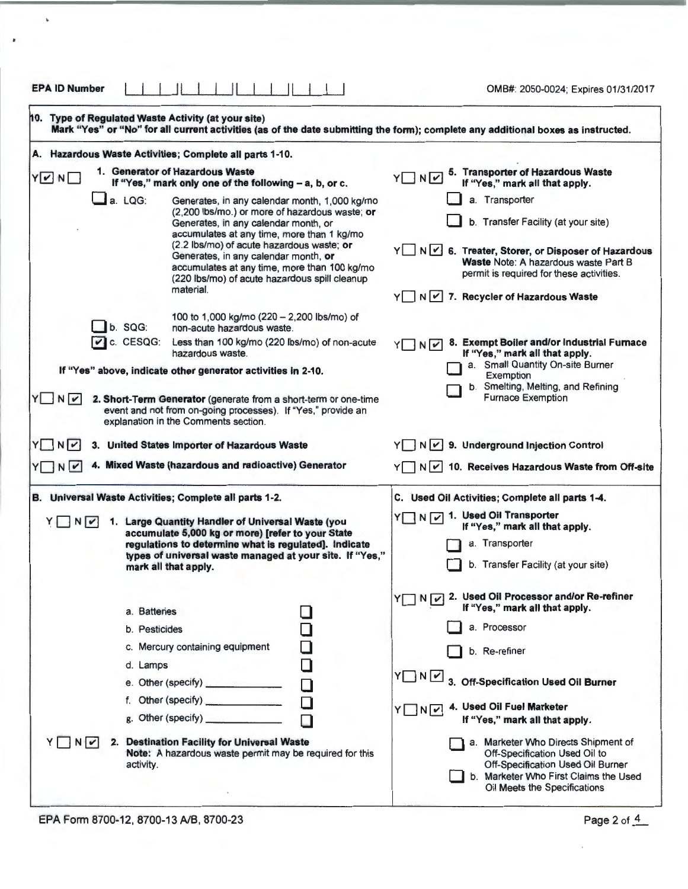| <b>EPA ID Number</b>                                                                   |                                                                                                                                                                                                                                                                                                                                                                                          | OMB#: 2050-0024; Expires 01/31/2017                                                                                                                                                                                                                                                                                                                                                                                           |
|----------------------------------------------------------------------------------------|------------------------------------------------------------------------------------------------------------------------------------------------------------------------------------------------------------------------------------------------------------------------------------------------------------------------------------------------------------------------------------------|-------------------------------------------------------------------------------------------------------------------------------------------------------------------------------------------------------------------------------------------------------------------------------------------------------------------------------------------------------------------------------------------------------------------------------|
| 10. Type of Regulated Waste Activity (at your site)                                    |                                                                                                                                                                                                                                                                                                                                                                                          | Mark "Yes" or "No" for all current activities (as of the date submitting the form); complete any additional boxes as instructed.                                                                                                                                                                                                                                                                                              |
| A. Hazardous Waste Activities; Complete all parts 1-10.                                |                                                                                                                                                                                                                                                                                                                                                                                          |                                                                                                                                                                                                                                                                                                                                                                                                                               |
| 1. Generator of Hazardous Waste<br>YVNI                                                | If "Yes," mark only one of the following - a, b, or c.                                                                                                                                                                                                                                                                                                                                   | 5. Transporter of Hazardous Waste<br>If "Yes," mark all that apply.<br>YONDY                                                                                                                                                                                                                                                                                                                                                  |
| a. LQG:                                                                                | Generates, in any calendar month, 1,000 kg/mo<br>(2,200 lbs/mo.) or more of hazardous waste; or<br>Generates, in any calendar month, or<br>accumulates at any time, more than 1 kg/mo<br>(2.2 lbs/mo) of acute hazardous waste; or<br>Generates, in any calendar month, or<br>accumulates at any time, more than 100 kg/mo<br>(220 lbs/mo) of acute hazardous spill cleanup<br>material. | a. Transporter<br>b. Transfer Facility (at your site)<br>Y N V 6. Treater, Storer, or Disposer of Hazardous<br>Waste Note: A hazardous waste Part B<br>permit is required for these activities.<br>Y N V 7. Recycler of Hazardous Waste                                                                                                                                                                                       |
| b. SQG:<br>c. CESQG:                                                                   | 100 to 1,000 kg/mo (220 - 2,200 lbs/mo) of<br>non-acute hazardous waste.<br>Less than 100 kg/mo (220 lbs/mo) of non-acute                                                                                                                                                                                                                                                                | 8. Exempt Boiler and/or Industrial Furnace<br>YINV                                                                                                                                                                                                                                                                                                                                                                            |
| YUNV<br>explanation in the Comments section.                                           | hazardous waste<br>If "Yes" above, indicate other generator activities in 2-10.<br>2. Short-Term Generator (generate from a short-term or one-time<br>event and not from on-going processes). If "Yes," provide an                                                                                                                                                                       | If "Yes," mark all that apply.<br>a. Small Quantity On-site Burner<br>Exemption<br>b. Smelting, Melting, and Refining<br><b>Furnace Exemption</b>                                                                                                                                                                                                                                                                             |
| YINV<br>YNN                                                                            | 3. United States Importer of Hazardous Waste<br>4. Mixed Waste (hazardous and radioactive) Generator                                                                                                                                                                                                                                                                                     | Y N V 9. Underground Injection Control<br>Y N V 10. Receives Hazardous Waste from Off-site                                                                                                                                                                                                                                                                                                                                    |
| B. Universal Waste Activities; Complete all parts 1-2.<br>YINV<br>mark all that apply. | 1. Large Quantity Handler of Universal Waste (you<br>accumulate 5,000 kg or more) [refer to your State<br>regulations to determine what is regulated]. Indicate<br>types of universal waste managed at your site. If "Yes,"                                                                                                                                                              | C. Used Oil Activities; Complete all parts 1-4.<br>Y N V 1. Used Oil Transporter<br>If "Yes," mark all that apply.<br>a. Transporter<br>b. Transfer Facility (at your site)                                                                                                                                                                                                                                                   |
| a. Batteries<br>b. Pesticides<br>d. Lamps<br>YINV<br>activity.                         | c. Mercury containing equipment<br>e. Other (specify) ______________<br>□<br>f. Other (specify) _______________<br>2. Destination Facility for Universal Waste<br>Note: A hazardous waste permit may be required for this                                                                                                                                                                | Y N V 2. Used Oil Processor and/or Re-refiner<br>If "Yes," mark all that apply.<br>a. Processor<br>b. Re-refiner<br>YOND<br>3. Off-Specification Used Oil Burner<br>4. Used Oil Fuel Marketer<br>YINV<br>If "Yes," mark all that apply.<br>a. Marketer Who Directs Shipment of<br>Off-Specification Used Oil to<br>Off-Specification Used Oil Burner<br>b. Marketer Who First Claims the Used<br>Oil Meets the Specifications |

EPA Form 8700-12, 8700-13 A/B, 8700-23

 $\ddot{\bullet}$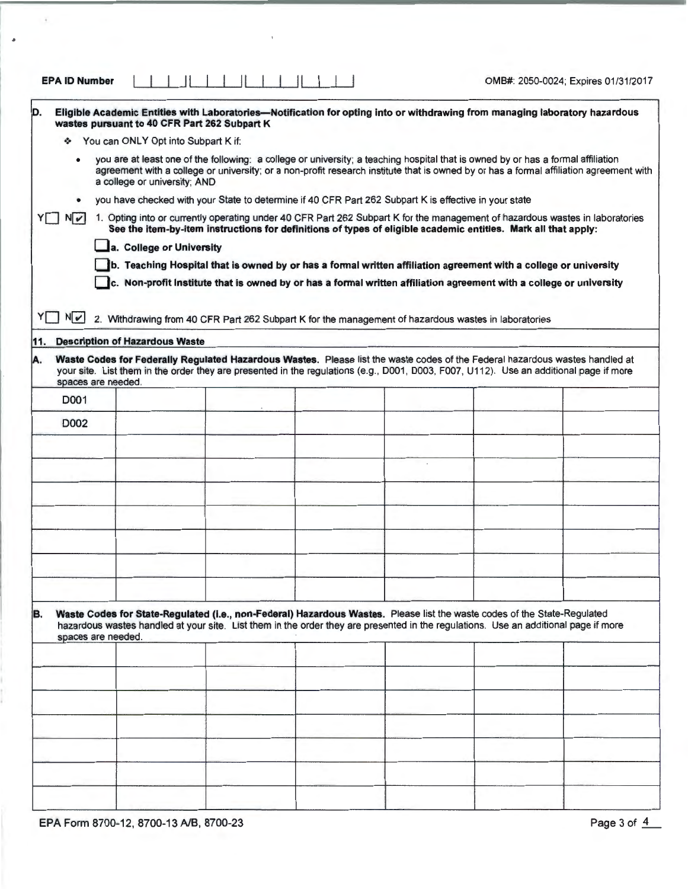| <b>EPA ID Number</b>    |                                                                                                       |  |  |  |  |  |  |  | OMB#: 2050-0024; Expires 01/31/2017                                                                                                                                                                                                                                        |  |
|-------------------------|-------------------------------------------------------------------------------------------------------|--|--|--|--|--|--|--|----------------------------------------------------------------------------------------------------------------------------------------------------------------------------------------------------------------------------------------------------------------------------|--|
| D.                      | wastes pursuant to 40 CFR Part 262 Subpart K                                                          |  |  |  |  |  |  |  | Eligible Academic Entities with Laboratories—Notification for opting into or withdrawing from managing laboratory hazardous                                                                                                                                                |  |
| ❖                       | You can ONLY Opt into Subpart K if:                                                                   |  |  |  |  |  |  |  |                                                                                                                                                                                                                                                                            |  |
| ٠                       |                                                                                                       |  |  |  |  |  |  |  | you are at least one of the following: a college or university; a teaching hospital that is owned by or has a formal affiliation<br>agreement with a college or university; or a non-profit research institute that is owned by or has a formal affiliation agreement with |  |
|                         | a college or university; AND                                                                          |  |  |  |  |  |  |  |                                                                                                                                                                                                                                                                            |  |
|                         | you have checked with your State to determine if 40 CFR Part 262 Subpart K is effective in your state |  |  |  |  |  |  |  |                                                                                                                                                                                                                                                                            |  |
| $N$ $V$<br>Y            |                                                                                                       |  |  |  |  |  |  |  | 1. Opting into or currently operating under 40 CFR Part 262 Subpart K for the management of hazardous wastes in laboratories<br>See the item-by-item instructions for definitions of types of eligible academic entities. Mark all that apply:                             |  |
|                         | a. College or University                                                                              |  |  |  |  |  |  |  |                                                                                                                                                                                                                                                                            |  |
|                         |                                                                                                       |  |  |  |  |  |  |  | ₫b. Teaching Hospital that is owned by or has a formal written affiliation agreement with a college or university                                                                                                                                                          |  |
|                         |                                                                                                       |  |  |  |  |  |  |  | c. Non-profit Institute that is owned by or has a formal written affiliation agreement with a college or university                                                                                                                                                        |  |
|                         |                                                                                                       |  |  |  |  |  |  |  |                                                                                                                                                                                                                                                                            |  |
| YII<br>$N$ $\checkmark$ | 2. Withdrawing from 40 CFR Part 262 Subpart K for the management of hazardous wastes in laboratories  |  |  |  |  |  |  |  |                                                                                                                                                                                                                                                                            |  |
| 11.                     | <b>Description of Hazardous Waste</b>                                                                 |  |  |  |  |  |  |  |                                                                                                                                                                                                                                                                            |  |
| IA.                     | spaces are needed.                                                                                    |  |  |  |  |  |  |  | Waste Codes for Federally Regulated Hazardous Wastes. Please list the waste codes of the Federal hazardous wastes handled at<br>your site. List them in the order they are presented in the regulations (e.g., D001, D003, F007, U112). Use an additional page if more     |  |
| D <sub>00</sub> 1       |                                                                                                       |  |  |  |  |  |  |  |                                                                                                                                                                                                                                                                            |  |
| D002                    |                                                                                                       |  |  |  |  |  |  |  |                                                                                                                                                                                                                                                                            |  |
|                         |                                                                                                       |  |  |  |  |  |  |  |                                                                                                                                                                                                                                                                            |  |
|                         |                                                                                                       |  |  |  |  |  |  |  |                                                                                                                                                                                                                                                                            |  |
|                         |                                                                                                       |  |  |  |  |  |  |  |                                                                                                                                                                                                                                                                            |  |
|                         |                                                                                                       |  |  |  |  |  |  |  |                                                                                                                                                                                                                                                                            |  |
|                         |                                                                                                       |  |  |  |  |  |  |  |                                                                                                                                                                                                                                                                            |  |
|                         |                                                                                                       |  |  |  |  |  |  |  |                                                                                                                                                                                                                                                                            |  |
|                         |                                                                                                       |  |  |  |  |  |  |  |                                                                                                                                                                                                                                                                            |  |
| B.                      | spaces are needed.                                                                                    |  |  |  |  |  |  |  | Waste Codes for State-Regulated (i.e., non-Federal) Hazardous Wastes. Please list the waste codes of the State-Regulated<br>hazardous wastes handled at your site. List them in the order they are presented in the regulations. Use an additional page if more            |  |
|                         |                                                                                                       |  |  |  |  |  |  |  |                                                                                                                                                                                                                                                                            |  |
|                         |                                                                                                       |  |  |  |  |  |  |  |                                                                                                                                                                                                                                                                            |  |
|                         |                                                                                                       |  |  |  |  |  |  |  |                                                                                                                                                                                                                                                                            |  |
|                         |                                                                                                       |  |  |  |  |  |  |  |                                                                                                                                                                                                                                                                            |  |
|                         |                                                                                                       |  |  |  |  |  |  |  |                                                                                                                                                                                                                                                                            |  |
|                         |                                                                                                       |  |  |  |  |  |  |  |                                                                                                                                                                                                                                                                            |  |
|                         |                                                                                                       |  |  |  |  |  |  |  |                                                                                                                                                                                                                                                                            |  |

 $\bullet$